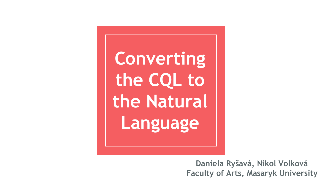**Converting the CQL to the Natural Language**

> **Daniela Ryšavá, Nikol Volková Faculty of Arts, Masaryk University**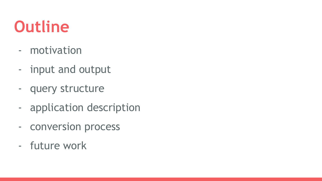# **Outline**

- motivation
- input and output
- query structure
- application description
- conversion process
- future work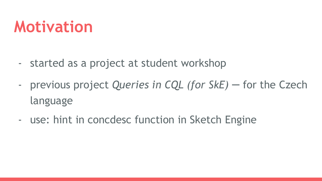# **Motivation**

- started as a project at student workshop
- previous project *Queries in CQL (for SkE)* for the Czech language
- use: hint in concdesc function in Sketch Engine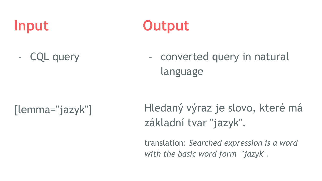# **Input Output**

- CQL query

- converted query in natural language

[lemma="jazyk"]

Hledaný výraz je slovo, které má základní tvar "jazyk".

translation: *Searched expression is a word with the basic word form* "*jazyk*".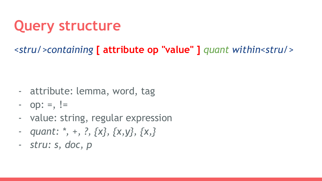## **Query structure**

*<stru/>containing* **[ attribute op "value" ]** *quant within<stru/>*

- attribute: lemma, word, tag
- op:  $=$ ,  $!=$
- value: string, regular expression
- *- quant: \*, +, ?, {x}, {x,y}, {x,}*
- *- stru: s, doc, p*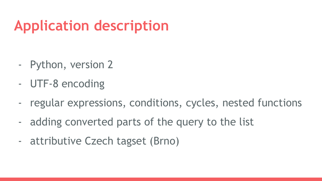# **Application description**

- Python, version 2
- UTF-8 encoding
- regular expressions, conditions, cycles, nested functions
- adding converted parts of the query to the list
- attributive Czech tagset (Brno)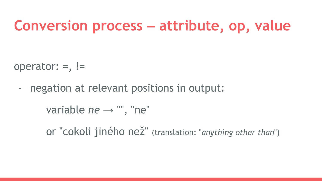operator:  $=$ ,  $!=$ 

- negation at relevant positions in output:

variable  $ne \rightarrow$  "", "ne"

or "cokoli jiného než" (translation: "*anything other than*")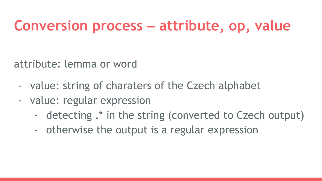attribute: lemma or word

- value: string of charaters of the Czech alphabet
- value: regular expression
	- detecting .\* in the string (converted to Czech output)
	- otherwise the output is a regular expression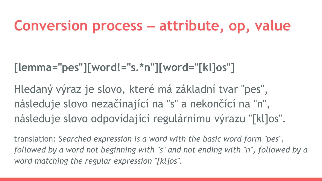#### **[lemma="pes"][word!="s.\*n"][word="[kl]os"]**

Hledaný výraz je slovo, které má základní tvar "pes", následuje slovo nezačínající na "s" a nekončící na "n", následuje slovo odpovídající regulárnímu výrazu "[kl]os".

translation: *Searched expression is a word with the basic word form "pes", followed by a word not beginning with "s" and not ending with "n", followed by a word matching the regular expression "[kl]os".*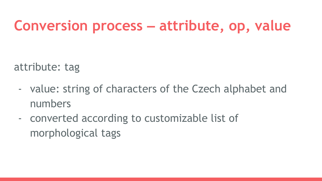attribute: tag

- value: string of characters of the Czech alphabet and numbers
- converted according to customizable list of morphological tags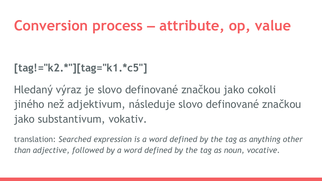```
[tag!="k2.*"][tag="k1.*c5"]
```
Hledaný výraz je slovo definované značkou jako cokoli jiného než adjektivum, následuje slovo definované značkou jako substantivum, vokativ.

translation: *Searched expression is a word defined by the tag as anything other than adjective, followed by a word defined by the tag as noun, vocative.*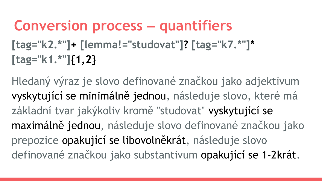**Conversion process – quantifiers [tag="k2.\*"]+ [lemma!="studovat"]? [tag="k7.\*"]\* [tag="k1.\*"]{1,2}**

Hledaný výraz je slovo definované značkou jako adjektivum vyskytující se minimálně jednou, následuje slovo, které má základní tvar jakýkoliv kromě "studovat" vyskytující se maximálně jednou, následuje slovo definované značkou jako prepozice opakující se libovolněkrát, následuje slovo definované značkou jako substantivum opakující se 1–2krát.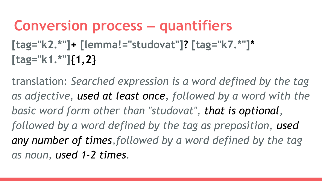**[tag="k2.\*"]+ [lemma!="studovat"]? [tag="k7.\*"]\* [tag="k1.\*"]{1,2} Conversion process – quantifiers**

translation: *Searched expression is a word defined by the tag as adjective, used at least once, followed by a word with the basic word form other than "studovat", that is optional, followed by a word defined by the tag as preposition, used any number of times,followed by a word defined by the tag as noun, used 1-2 times.*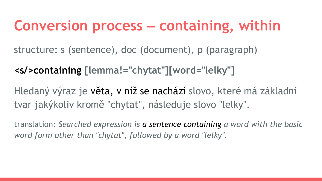### **Conversion process – containing, within**

structure: s (sentence), doc (document), p (paragraph)

**<s/>containing [lemma!="chytat"][word="lelky"]**

Hledaný výraz je věta, v níž se nachází slovo, které má základní tvar jakýkoliv kromě "chytat", následuje slovo "lelky".

translation: *Searched expression is a sentence containing a word with the basic word form other than "chytat", followed by a word "lelky".*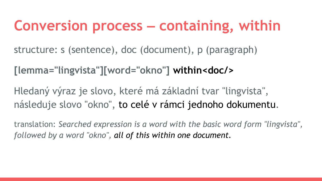### **Conversion process – containing, within**

structure: s (sentence), doc (document), p (paragraph)

**[lemma="lingvista"][word="okno"] within<doc/>**

Hledaný výraz je slovo, které má základní tvar "lingvista", následuje slovo "okno", to celé v rámci jednoho dokumentu.

translation: *Searched expression is a word with the basic word form "lingvista", followed by a word "okno", all of this within one document.*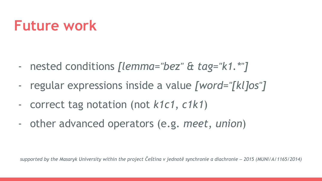### **Future work**

- nested conditions *[lemma="bez" & tag="k1.\*"]*
- regular expressions inside a value *[word="[kl]os"]*
- correct tag notation (not *k1c1*, *c1k1*)
- other advanced operators (e.g. *meet*, *union*)

*supported by the Masaryk University within the project Čeština v jednotě synchronie a diachronie* – *2015 (MUNI/A/1165/2014)*